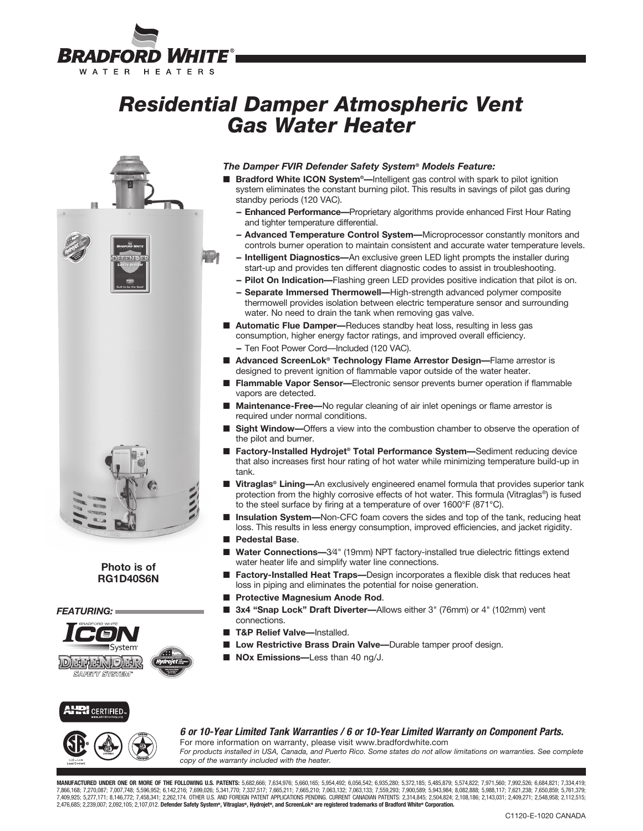

# *Residential Damper Atmospheric Vent Gas Water Heater*



### **Photo is of RG1D40S6N**

*FEATURING:*



### *The Damper FVIR Defender Safety System® Models Feature:*

- Bradford White ICON System<sup>®</sup>—Intelligent gas control with spark to pilot ignition system eliminates the constant burning pilot. This results in savings of pilot gas during standby periods (120 VAC).
	- **-- Enhanced Performance—**Proprietary algorithms provide enhanced First Hour Rating and tighter temperature differential.
	- **-- Advanced Temperature Control System—**Microprocessor constantly monitors and controls burner operation to maintain consistent and accurate water temperature levels.
	- **Intelligent Diagnostics—An exclusive green LED light prompts the installer during** start-up and provides ten different diagnostic codes to assist in troubleshooting.
	- **-- Pilot On Indication—**Flashing green LED provides positive indication that pilot is on.
	- **-- Separate Immersed Thermowell—**High-strength advanced polymer composite thermowell provides isolation between electric temperature sensor and surrounding water. No need to drain the tank when removing gas valve.
- Automatic Flue Damper—Reduces standby heat loss, resulting in less gas consumption, higher energy factor ratings, and improved overall efficiency. **--** Ten Foot Power Cord—Included (120 VAC).
- Advanced ScreenLok<sup>®</sup> Technology Flame Arrestor Design—Flame arrestor is designed to prevent ignition of flammable vapor outside of the water heater.
- n **Flammable Vapor Sensor—**Electronic sensor prevents burner operation if flammable vapors are detected.
- **Maintenance-Free—**No regular cleaning of air inlet openings or flame arrestor is required under normal conditions.
- **n** Sight Window—Offers a view into the combustion chamber to observe the operation of the pilot and burner.
- Factory-Installed Hydrojet<sup>®</sup> Total Performance System—Sediment reducing device that also increases first hour rating of hot water while minimizing temperature build-up in tank.
- Vitraglas<sup>®</sup> Lining—An exclusively engineered enamel formula that provides superior tank protection from the highly corrosive effects of hot water. This formula (Vitraglas®) is fused to the steel surface by firing at a temperature of over 1600°F (871°C).
- **Insulation System—**Non-CFC foam covers the sides and top of the tank, reducing heat loss. This results in less energy consumption, improved efficiencies, and jacket rigidity.
- **n** Pedestal Base.
- Water Connections-3/4" (19mm) NPT factory-installed true dielectric fittings extend water heater life and simplify water line connections.
- **Factory-Installed Heat Traps—**Design incorporates a flexible disk that reduces heat loss in piping and eliminates the potential for noise generation.
- **n** Protective Magnesium Anode Rod.
- 3x4 "Snap Lock" Draft Diverter-Allows either 3" (76mm) or 4" (102mm) vent connections.
- **T&P Relief Valve—Installed.**
- Low Restrictive Brass Drain Valve—Durable tamper proof design.
- **NOx Emissions—Less than 40 ng/J.**

### **RI** CERTIFIED.



*6 or 10-Year Limited Tank Warranties / 6 or 10-Year Limited Warranty on Component Parts.*

For more information on warranty, please visit www.bradfordwhite.com *For products installed in USA, Canada, and Puerto Rico. Some states do not allow limitations on warranties. See complete copy of the warranty included with the heater.*

**MANUFACTURED UNDER ONE OR MORE OF THE FOLLOWING U.S. PATENTS:** 5,682,666; 7,634,976; 5,660,165; 5,954,492; 6,056,542; 6,935,280; 5,372,185; 5,485,879; 5,574,822; 7,971,560; 7,992,526; 6,684,821; 7,334,419;<br>7,866,168; 7,27 7,409,925; 5,277,171; 8,146,772; 7,458,341; 2,262,174. OTHER U.S. AND FOREIGN PATENT APPLICATIONS PENDING. CURRENT CANADIAN PATENTS: 2,314,845; 2,504,824; 2,108,186; 2,143,031; 2,409,271; 2,548,958; 2,112,515; 2,476,685; 2,239,007; 2,092,105; 2,107,012. Defender Safety System®, Vitraglas®, Hydrojet®, and ScreenLok® are registered trademarks of Bradford White® Corporation.